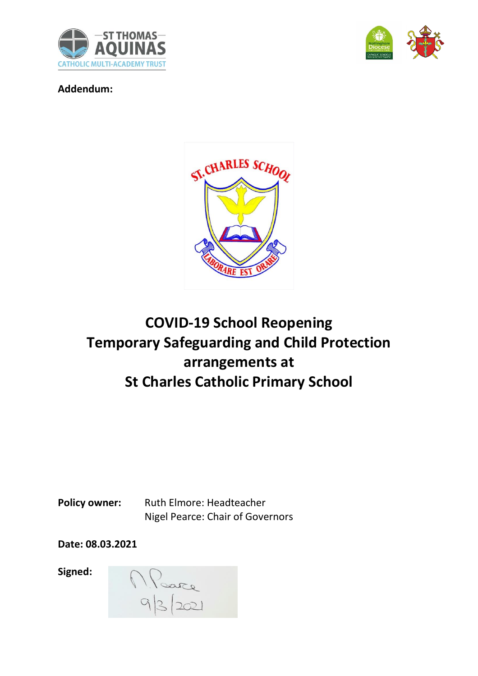



**Addendum:**



# **COVID-19 School Reopening Temporary Safeguarding and Child Protection arrangements at St Charles Catholic Primary School**

Policy owner: Ruth Elmore: Headteacher Nigel Pearce: Chair of Governors

**Date: 08.03.2021**

**Signed:**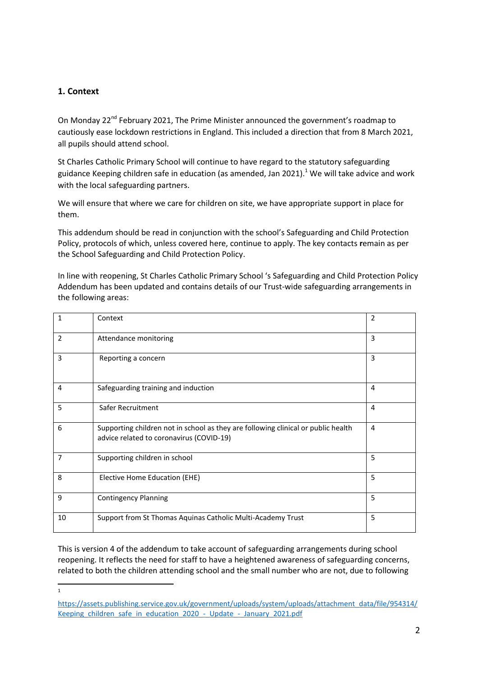## **1. Context**

On Monday 22<sup>nd</sup> February 2021, The Prime Minister announced the government's roadmap to cautiously ease lockdown restrictions in England. This included a direction that from 8 March 2021, all pupils should attend school.

St Charles Catholic Primary School will continue to have regard to the statutory safeguarding guidance Keeping children safe in education (as amended, Jan 2021).<sup>1</sup> We will take advice and work with the local safeguarding partners.

We will ensure that where we care for children on site, we have appropriate support in place for them.

This addendum should be read in conjunction with the school's Safeguarding and Child Protection Policy, protocols of which, unless covered here, continue to apply. The key contacts **r**emain as per the School Safeguarding and Child Protection Policy.

In line with reopening, St Charles Catholic Primary School 's Safeguarding and Child Protection Policy Addendum has been updated and contains details of our Trust-wide safeguarding arrangements in the following areas:

| $\mathbf{1}$   | Context                                                                                                                       | 2              |
|----------------|-------------------------------------------------------------------------------------------------------------------------------|----------------|
| $\overline{2}$ | Attendance monitoring                                                                                                         | 3              |
| 3              | Reporting a concern                                                                                                           | 3              |
| 4              | Safeguarding training and induction                                                                                           | $\overline{4}$ |
| 5              | Safer Recruitment                                                                                                             | $\overline{4}$ |
| 6              | Supporting children not in school as they are following clinical or public health<br>advice related to coronavirus (COVID-19) | 4              |
| 7              | Supporting children in school                                                                                                 | 5              |
| 8              | Elective Home Education (EHE)                                                                                                 | 5              |
| 9              | <b>Contingency Planning</b>                                                                                                   | 5              |
| 10             | Support from St Thomas Aquinas Catholic Multi-Academy Trust                                                                   | 5              |

This is version 4 of the addendum to take account of safeguarding arrangements during school reopening. It reflects the need for staff to have a heightened awareness of safeguarding concerns, related to both the children attending school and the small number who are not, due to following

 $\frac{1}{1}$ 

[https://assets.publishing.service.gov.uk/government/uploads/system/uploads/attachment\\_data/file/954314/](https://assets.publishing.service.gov.uk/government/uploads/system/uploads/attachment_data/file/954314/Keeping_children_safe_in_education_2020_-_Update_-_January_2021.pdf) Keeping children safe in education 2020 - Update - January 2021.pdf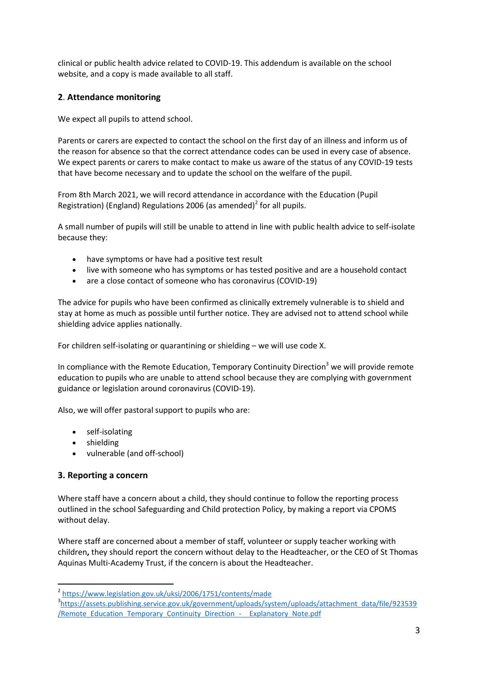clinical or public health advice related to COVID-19. This addendum is available on the school website, and a copy is made available to all staff.

# **2**. **Attendance monitoring**

We expect all pupils to attend school.

Parents or carers are expected to contact the school on the first day of an illness and inform us of the reason for absence so that the correct attendance codes can be used in every case of absence. We expect parents or carers to make contact to make us aware of the status of any COVID-19 tests that have become necessary and to update the school on the welfare of the pupil.

From 8th March 2021, we will record attendance in accordance with the Education (Pupil Registration) (England) Regulations 2006 (as amended)<sup>2</sup> for all pupils.

A small number of pupils will still be unable to attend in line with public health advice to self-isolate because they:

- have symptoms or have had a positive test result
- live with someone who has symptoms or has tested positive and are a household contact
- are a close contact of someone who has coronavirus (COVID-19)

The advice for pupils who have been confirmed as clinically extremely vulnerable is to shield and stay at home as much as possible until further notice. They are advised not to attend school while shielding advice applies nationally.

For children self-isolating or quarantining or shielding – we will use code X.

In compliance with the Remote Education, Temporary Continuity Direction<sup>3</sup> we will provide remote education to pupils who are unable to attend school because they are complying with government guidance or legislation around coronavirus (COVID-19).

Also, we will offer pastoral support to pupils who are:

- self-isolating
- shielding
- vulnerable (and off-school)

## **3. Reporting a concern**

Where staff have a concern about a child, they should continue to follow the reporting process outlined in the school Safeguarding and Child protection Policy, by making a report via CPOMS without delay.

Where staff are concerned about a member of staff, volunteer or supply teacher working with children**,** they should report the concern without delay to the Headteacher, or the CEO of St Thomas Aquinas Multi-Academy Trust, if the concern is about the Headteacher.

<sup>&</sup>lt;sup>2</sup> <https://www.legislation.gov.uk/uksi/2006/1751/contents/made>

<sup>&</sup>lt;sup>3</sup>[https://assets.publishing.service.gov.uk/government/uploads/system/uploads/attachment\\_data/file/923539](https://assets.publishing.service.gov.uk/government/uploads/system/uploads/attachment_data/file/923539/Remote_Education_Temporary_Continuity_Direction_-__Explanatory_Note.pdf) /Remote Education Temporary Continuity Direction - Explanatory Note.pdf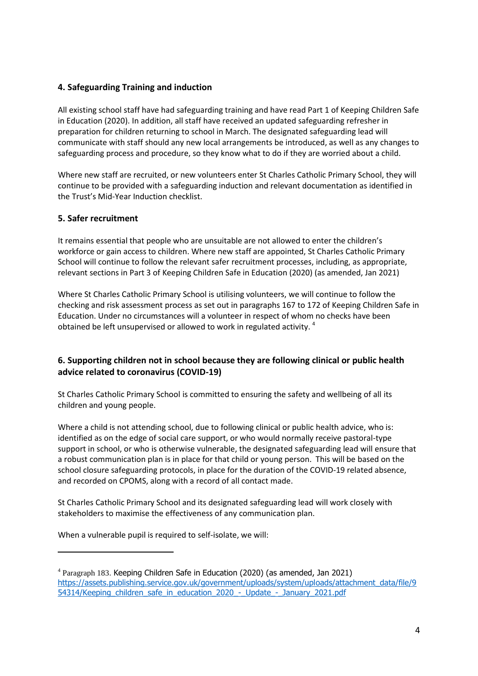# **4. Safeguarding Training and induction**

All existing school staff have had safeguarding training and have read Part 1 of Keeping Children Safe in Education (2020). In addition, all staff have received an updated safeguarding refresher in preparation for children returning to school in March. The designated safeguarding lead will communicate with staff should any new local arrangements be introduced, as well as any changes to safeguarding process and procedure, so they know what to do if they are worried about a child.

Where new staff are recruited, or new volunteers enter St Charles Catholic Primary School, they will continue to be provided with a safeguarding induction and relevant documentation as identified in the Trust's Mid-Year Induction checklist.

## **5. Safer recruitment**

 $\overline{a}$ 

It remains essential that people who are unsuitable are not allowed to enter the children's workforce or gain access to children. Where new staff are appointed, St Charles Catholic Primary School will continue to follow the relevant safer recruitment processes, including, as appropriate, relevant sections in Part 3 of Keeping Children Safe in Education (2020) (as amended, Jan 2021)

Where St Charles Catholic Primary School is utilising volunteers, we will continue to follow the checking and risk assessment process as set out in paragraphs 167 to 172 of Keeping Children Safe in Education. Under no circumstances will a volunteer in respect of whom no checks have been obtained be left unsupervised or allowed to work in regulated activity.<sup>4</sup>

# **6. Supporting children not in school because they are following clinical or public health advice related to coronavirus (COVID-19)**

St Charles Catholic Primary School is committed to ensuring the safety and wellbeing of all its children and young people.

Where a child is not attending school, due to following clinical or public health advice, who is: identified as on the edge of social care support, or who would normally receive pastoral-type support in school, or who is otherwise vulnerable, the designated safeguarding lead will ensure that a robust communication plan is in place for that child or young person. This will be based on the school closure safeguarding protocols, in place for the duration of the COVID-19 related absence, and recorded on CPOMS, along with a record of all contact made.

St Charles Catholic Primary School and its designated safeguarding lead will work closely with stakeholders to maximise the effectiveness of any communication plan.

When a vulnerable pupil is required to self-isolate, we will:

<sup>&</sup>lt;sup>4</sup> Paragraph 183. Keeping Children Safe in Education (2020) (as amended, Jan 2021) [https://assets.publishing.service.gov.uk/government/uploads/system/uploads/attachment\\_data/file/9](https://assets.publishing.service.gov.uk/government/uploads/system/uploads/attachment_data/file/954314/Keeping_children_safe_in_education_2020_-_Update_-_January_2021.pdf) 54314/Keeping children safe in education 2020 - Update - January 2021.pdf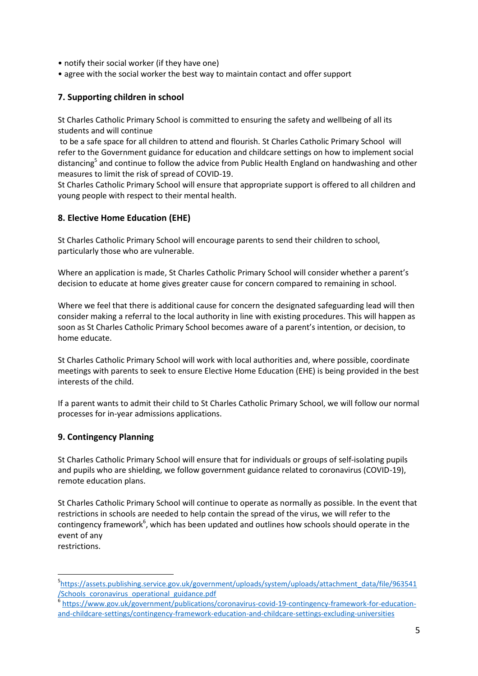- notify their social worker (if they have one)
- agree with the social worker the best way to maintain contact and offer support

## **7. Supporting children in school**

St Charles Catholic Primary School is committed to ensuring the safety and wellbeing of all its students and will continue

to be a safe space for all children to attend and flourish. St Charles Catholic Primary School will refer to the Government guidance for education and childcare settings on how to implement social distancing<sup>5</sup> and continue to follow the advice from Public Health England on handwashing and other measures to limit the risk of spread of COVID-19.

St Charles Catholic Primary School will ensure that appropriate support is offered to all children and young people with respect to their mental health.

## **8. Elective Home Education (EHE)**

St Charles Catholic Primary School will encourage parents to send their children to school, particularly those who are vulnerable.

Where an application is made, St Charles Catholic Primary School will consider whether a parent's decision to educate at home gives greater cause for concern compared to remaining in school.

Where we feel that there is additional cause for concern the designated safeguarding lead will then consider making a referral to the local authority in line with existing procedures. This will happen as soon as St Charles Catholic Primary School becomes aware of a parent's intention, or decision, to home educate.

St Charles Catholic Primary School will work with local authorities and, where possible, coordinate meetings with parents to seek to ensure Elective Home Education (EHE) is being provided in the best interests of the child.

If a parent wants to admit their child to St Charles Catholic Primary School, we will follow our normal processes for in-year admissions applications.

## **9. Contingency Planning**

St Charles Catholic Primary School will ensure that for individuals or groups of self-isolating pupils and pupils who are shielding, we follow government guidance related to coronavirus (COVID-19), remote education plans.

St Charles Catholic Primary School will continue to operate as normally as possible. In the event that restrictions in schools are needed to help contain the spread of the virus, we will refer to the contingency framework<sup>6</sup>, which has been updated and outlines how schools should operate in the event of any

restrictions.

 $\overline{a}$ 

<sup>&</sup>lt;sup>5</sup>[https://assets.publishing.service.gov.uk/government/uploads/system/uploads/attachment\\_data/file/963541](https://assets.publishing.service.gov.uk/government/uploads/system/uploads/attachment_data/file/963541/Schools_coronavirus_operational_guidance.pdf) [/Schools\\_coronavirus\\_operational\\_guidance.pdf](https://assets.publishing.service.gov.uk/government/uploads/system/uploads/attachment_data/file/963541/Schools_coronavirus_operational_guidance.pdf) 6

[https://www.gov.uk/government/publications/coronavirus-covid-19-contingency-framework-for-education](https://www.gov.uk/government/publications/coronavirus-covid-19-contingency-framework-for-education-and-childcare-settings/contingency-framework-education-and-childcare-settings-excluding-universities)[and-childcare-settings/contingency-framework-education-and-childcare-settings-excluding-universities](https://www.gov.uk/government/publications/coronavirus-covid-19-contingency-framework-for-education-and-childcare-settings/contingency-framework-education-and-childcare-settings-excluding-universities)